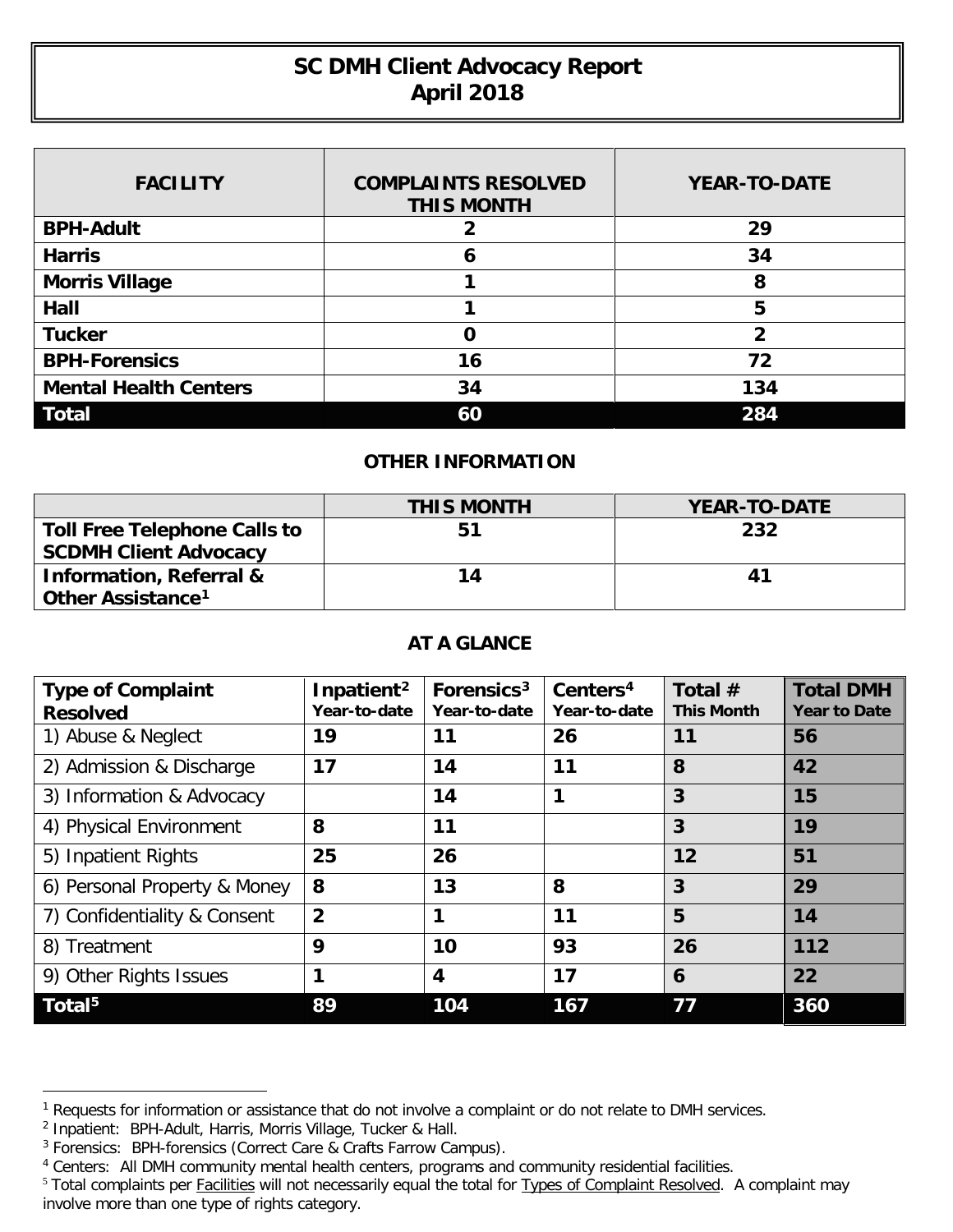## **SC DMH Client Advocacy Report April 2018**

| <b>FACILITY</b>              | <b>COMPLAINTS RESOLVED</b><br><b>THIS MONTH</b> | <b>YEAR-TO-DATE</b> |
|------------------------------|-------------------------------------------------|---------------------|
| <b>BPH-Adult</b>             |                                                 | 29                  |
| <b>Harris</b>                | 6                                               | 34                  |
| <b>Morris Village</b>        |                                                 | 8                   |
| Hall                         |                                                 | 5                   |
| <b>Tucker</b>                |                                                 | 2                   |
| <b>BPH-Forensics</b>         | 16                                              | 72                  |
| <b>Mental Health Centers</b> | 34                                              | 134                 |
| <b>Total</b>                 | 60                                              | 284                 |

## **OTHER INFORMATION**

|                                     | <b>THIS MONTH</b> | <b>YEAR-TO-DATE</b> |
|-------------------------------------|-------------------|---------------------|
| <b>Toll Free Telephone Calls to</b> | 51                | 232                 |
| <b>SCDMH Client Advocacy</b>        |                   |                     |
| <b>Information, Referral &amp;</b>  | 14                | 41                  |
| Other Assistance <sup>1</sup>       |                   |                     |

## **AT A GLANCE**

| <b>Type of Complaint</b><br><b>Resolved</b> | Inpatient <sup>2</sup><br>Year-to-date | Forensics <sup>3</sup><br>Year-to-date | Centers <sup>4</sup><br>Year-to-date | Total $#$<br><b>This Month</b> | <b>Total DMH</b><br><b>Year to Date</b> |
|---------------------------------------------|----------------------------------------|----------------------------------------|--------------------------------------|--------------------------------|-----------------------------------------|
| 1) Abuse & Neglect                          | 19                                     | 11                                     | 26                                   | 11                             | 56                                      |
| 2) Admission & Discharge                    | 17                                     | 14                                     | 11                                   | 8                              | 42                                      |
| 3) Information & Advocacy                   |                                        | 14                                     | 1                                    | 3                              | 15                                      |
| 4) Physical Environment                     | 8                                      | 11                                     |                                      | 3                              | 19                                      |
| 5) Inpatient Rights                         | 25                                     | 26                                     |                                      | 12                             | 51                                      |
| 6) Personal Property & Money                | 8                                      | 13                                     | 8                                    | 3                              | 29                                      |
| 7) Confidentiality & Consent                | $\overline{2}$                         | 1                                      | 11                                   | 5                              | 14                                      |
| 8) Treatment                                | 9                                      | 10                                     | 93                                   | 26                             | 112                                     |
| 9) Other Rights Issues                      | 1                                      | $\boldsymbol{4}$                       | 17                                   | 6                              | 22                                      |
| $\overline{\mathsf{Total}}^{5}$             | 89                                     | 104                                    | 167                                  | 77                             | 360                                     |

 $\overline{a}$ 

<span id="page-0-0"></span><sup>&</sup>lt;sup>1</sup> Requests for information or assistance that do not involve a complaint or do not relate to DMH services.

<span id="page-0-1"></span><sup>&</sup>lt;sup>2</sup> Inpatient: BPH-Adult, Harris, Morris Village, Tucker & Hall.

<span id="page-0-2"></span><sup>&</sup>lt;sup>3</sup> Forensics: BPH-forensics (Correct Care & Crafts Farrow Campus).

<span id="page-0-3"></span><sup>4</sup> Centers: All DMH community mental health centers, programs and community residential facilities.

<span id="page-0-4"></span><sup>&</sup>lt;sup>5</sup> Total complaints per Facilities will not necessarily equal the total for Types of Complaint Resolved. A complaint may involve more than one type of rights category.